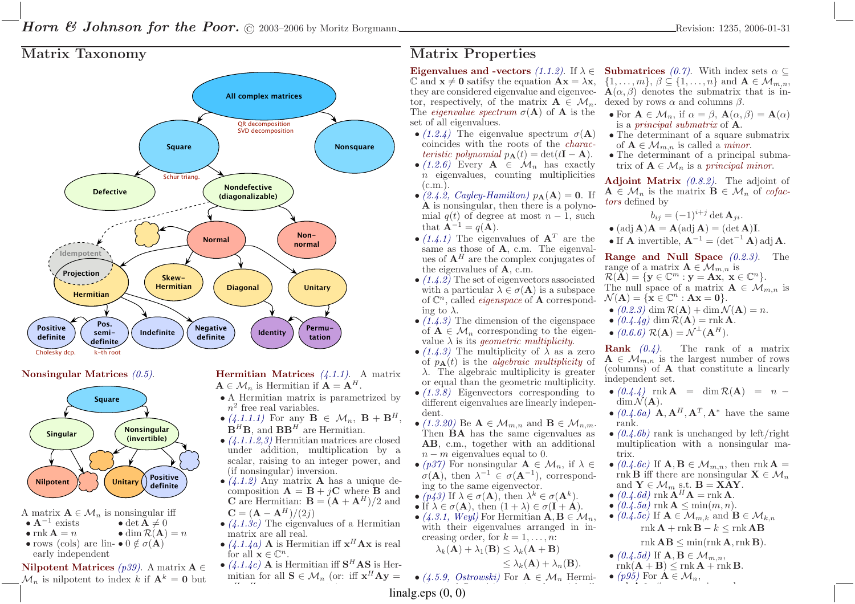## Matrix Taxonomy







A matrix  $\mathbf{A} \in \mathcal{M}_n$  is nonsingular iff

•  $A^{-1}$  exists  $\bullet$  det  $\mathbf{A} \neq 0$ 

•  $\text{rnk } A = n$ • dim  $\mathcal{R}(\mathbf{A}) = n$ 

• rows (cols) are lin-  $\bullet$  0  $\notin \sigma(\mathbf{A})$ early independent

Nilpotent Matrices (p39). A matrix  $\mathbf{A} \in$  $\mathcal{M}_n$  is nilpotent to index k if  $\mathbf{A}^k = \mathbf{0}$  but

**Hermitian Matrices**  $(4.1.1)$ . A matrix  $A \in \mathcal{M}_n$  is Hermitian if  $A = A^H$ .

- $\bullet$  A Hermitian matrix is parametrized by  $n^2$  free real variables.
- $\bullet$  (4.1.1.1) For any  $\mathbf{B} \in \mathcal{M}_n$ ,  $\mathbf{B} + \mathbf{B}^H$  $\mathbf{B}^H \mathbf{B}$ , and  $\mathbf{B} \mathbf{B}^H$  are Hermitian. ,
- (4.1.1.2,3) Hermitian matrices are closed under addition, multiplication by <sup>a</sup> scalar, raising to an integer power, and(if nonsingular) inversion.
- $(4.1.2)$  Any matrix **A** has a unique decomposition  $\mathbf{A} = \mathbf{B} + i\mathbf{C}$  where **B** and composition  $\mathbf{A} = \mathbf{B} + j\mathbf{C}$  where **B** and  $\mathbf{C}$  are Hermitian:  $\mathbf{B} = (\mathbf{A} + \mathbf{A}^H)/2$  and **C** are Hermitian:  $\mathbf{B} = (\mathbf{A} + \mathbf{A}^H)/2$  and
- $\mathbf{C} = (\mathbf{A} \mathbf{A}^H)/(2j)$ •  $(4.1.3c)$  The eigenvalues of a Hermitian matrix are all real.
- $(4.1.4a)$  **A** is Hermitian iff  $x^H$  **Ax** is real for all  $x \in \mathbb{C}^n$ for all  $\mathbf{x} \in \mathbb{C}^n$ .
- $(4.1.4c)$  **A** is Hermitian iff **S<sup>H</sup>AS** is Hermitian for all **S**  $\subset$  *M* (or iff  $x^H$  **A**  $y$  mitian for all  $\mathbf{S} \in \mathcal{M}_n$  (or: iff  $\mathbf{x}^H \mathbf{A} \mathbf{y} =$

HH

# Matrix Properties

Eigenvalues and -vectors (1.1.2). If  $\lambda \in$  $\mathbb{C}$  and  $\mathbf{x} \neq \mathbf{0}$  satifsy the equation  $\mathbf{A}\mathbf{x} = \lambda \mathbf{x}$ , they are considered eigenvalue and eigenvector, respectively, of the matrix  $\mathbf{A} \in \mathcal{M}_n$ .<br>The *eigenvalue spectrum*  $\sigma(\mathbf{A})$  of  $\mathbf{A}$  is the The *eigenvalue spectrum*  $\sigma(A)$  of A is the set of all eigenvalues.

- $(1.2.4)$  The eigenvalue spectrum  $\sigma(A)$  coincides with the roots of the characteristic polynomial  $p_{\mathbf{A}}(t) = \det(t\mathbf{I} - \mathbf{A}).$
- $(1.2.6)$  Every  $\mathbf{A} \in \mathcal{M}_n$  has exactly  $n$  eigenvalues, counting multiplicities  $(c.m.).$
- (2.4.2, Cayley-Hamilton)  $p_{\mathbf{A}}(\mathbf{A}) = \mathbf{0}$ . If **A** is nonsingular, then there is a polyno-<br>mial  $q(t)$  of degree at most  $n-1$  such mial  $q(t)$  of degree at most  $n-1$ , such that  $\mathbf{A}^{-1} = q(\mathbf{A}).$
- $(1.4.1)$  The eigenvalues of  $A<sup>T</sup>$  are the same as those of **A**, c.m. The eigenvalues of  $A^H$  are the complex conjugates of the eigenvalues of <sup>A</sup>, c.m.
- $(1.4.2)$  The set of eigenvectors associated with a particular  $\lambda \in \sigma(\mathbf{A})$  is a subspace of  $\mathbb{C}^n$ , called *eigenspace* of **A** correspond-<br>ing to  $\lambda$ ing to  $\lambda$ .
- $(1.4.3)$  The dimension of the eigenspace of  $A \in \mathcal{M}_n$  corresponding to the eigen-<br>value  $\lambda$  is its *ecometric multiplicity* value  $\lambda$  is its *geometric multiplicity*.
- $(1.4.3)$  The multiplicity of  $\lambda$  as a zero of  $p_{\mathbf{A}}(t)$  is the *algebraic multiplicity* of  $\lambda$ . The algebraic multiplicity is greater or equa<sup>l</sup> than the geometric multiplicity.
- (1.3.8) Eigenvectors corresponding to different eigenvalues are linearly independent.
- (1.3.20) Be  $A \in \mathcal{M}_{m,n}$  and  $B \in \mathcal{M}_{n,m}$ .<br>Then **BA** has the same eigenvalues as Then  $BA$  has the same eigenvalues as  $AB \, cm$  together with an additional AB, c.m., together with an additional  $n-m$  eigenvalues equal to 0.<br>(n<sup>97)</sup> For popsingular  $\Lambda \in \Lambda$
- (p37) For nonsingular  $\mathbf{A} \in \mathcal{M}_n$ , if  $\lambda \in$ <br>  $\tau(\Lambda)$  then  $\lambda^{-1} \in \tau(\Lambda^{-1})$  correspond  $\sigma(\mathbf{A}),$  then  $\lambda^{-1} \in \sigma(\mathbf{A}^{-1}),$  correspond-ing to the same eigenvector.
- $(p43)$  If  $\lambda \in \sigma(\mathbf{A}),$  then  $\lambda^k \in \sigma(\mathbf{A}^k)$ .
- If  $\lambda \in \sigma(\mathbf{A})$ , then  $(1 + \lambda) \in \sigma(\mathbf{I} + \mathbf{A})$ .
- $(4.3.1, Weyl)$  For Hermitian  $\mathbf{A}, \mathbf{B} \in \mathcal{M}_n$ ,<br>with their eigenvalues arranged in in with their eigenvalues arranged in increasing order, for  $k = 1, \ldots, n$ :

 $\lambda_k(\mathbf{A}) + \lambda_1(\mathbf{B}) \leq \lambda_k(\mathbf{A} + \mathbf{B})$ 

 $\leq \lambda_k(\mathbf{A}) + \lambda_n(\mathbf{B}).$ 

nonsingular, with all

•  $(4.5.9, Ostrowski)$  For  $\mathbf{A} \in \mathcal{M}_n$  Hermi-

**Submatrices** (0.7). With index sets  $\alpha \subseteq$  $\{1, \ldots, m\}, \beta \subseteq \{1, \ldots, n\}$  and  $\mathbf{A} \in \mathcal{M}_{m,n}$ ,<br> $\mathbf{A}(\alpha, \beta)$  denotes the submatrix that is in- $\mathbf{A}(\alpha, \beta)$  denotes the submatrix that is indexed by rows  $\alpha$  and columns  $\beta$ .

- For  $A \in M_n$ , if  $\alpha = \beta$ ,  $A(\alpha, \beta) = A(\alpha)$ <br>is a principal submatrix of  $A$ is a *principal submatrix* of  $\mathbf{A}$ .
- The determinant of <sup>a</sup> square submatrixof  $\mathbf{A} \in \mathcal{M}_{m,n}$  is called a *minor*.<br>The determinant of a principal
- The determinant of <sup>a</sup> principal submatrix of  $A \in \mathcal{M}_n$  is a principal minor.

Adjoint Matrix  $(0.8.2)$ . The adjoint of  $\mathbf{A} \in \mathcal{M}_n$  is the matrix  $\mathbf{B} \in \mathcal{M}_n$  of cofactors defined by tors defined by

$$
b_{ij} = (-1)^{i+j} \det \mathbf{A}_{ji}.
$$

- $(\mathrm{adj}\,\mathbf{A})\mathbf{A}=\mathbf{A}(\mathrm{adj}\,\mathbf{A})=(\det\mathbf{A})\mathbf{I}.$
- If **A** invertible,  $\mathbf{A}^{-1} = (\det^{-1} \mathbf{A}) \text{adj } \mathbf{A}$ .

**Range and Null Space**  $(0.2.3)$ . The range of a matrix  $\mathbf{A} \in \mathcal{M}_{m,n}$  is<br> $\mathcal{R}(\mathbf{A}) = \{ \mathbf{v} \in \mathbb{C}^m : \mathbf{v} = \mathbf{A} \mathbf{x} \mid \mathbf{x} \}$ 

 $\mathcal{R}(\mathbf{A}) = \{ \mathbf{y} \in \mathbb{C}^m : \mathbf{y} = \mathbf{A}\mathbf{x}, \ \mathbf{x} \in \mathbb{C}^n \}.$ <br>The null grass of a matrix  $\mathbf{A} \in \mathcal{M}$ . The null space of a matrix  $\mathbf{A} \in \mathcal{M}_{m,n}$  is<br> $\mathcal{N}(\mathbf{A}) = \{ \mathbf{x} \in \mathbb{C}^n : \mathbf{A} \mathbf{x} = \mathbf{0} \}$  $\mathcal{N}(\mathbf{A}) = \{ \mathbf{x} \in \mathbb{C}^n : \mathbf{A}\mathbf{x} = \mathbf{0} \}.$ 

- $(0.2.3)$  dim  $\mathcal{R}(\mathbf{A})$  + dim  $\mathcal{N}(\mathbf{A}) = n$ .
- $(0.4.4g)$  dim  $\mathcal{R}(\mathbf{A}) = \text{rnk } \mathbf{A}$ .
- $(0.6.6) \mathcal{R}(\mathbf{A}) = \mathcal{N}^{\perp}(\mathbf{A}^H).$

**Rank**  $(0.4)$ . The rank of a matrix  $A \in \mathcal{M}_{m,n}$  is the largest number of rows<br>(columns) of A that constitute a linearly (columns) of A that constitute <sup>a</sup> linearly independent set.

- $\bullet$  (0.4.4) rnk **A** = dim  $\mathcal{R}(\mathbf{A})$  = n - $\dim \mathcal{N}(\mathbf{A}).$ <br>(0  $\ell \in \mathbb{R}$ )  $\mathbf{A} \cdot \mathbf{A}^H \cdot \mathbf{A}^T \cdot \mathbf{A}^*$  have the same
- $(0.4.6a)$  **A**,  $\mathbf{A}^H$ ,  $\mathbf{A}^T$ ,  $\mathbf{A}^*$  have the same rank.
- $(0.4.6b)$  rank is unchanged by left/right multiplication with <sup>a</sup> nonsingular matrix.
- $(0.4.6c)$  If  $\mathbf{A}, \mathbf{B} \in \mathcal{M}_{m,n}$ , then rnk  $\mathbf{A} =$ <br>rnk **B** iff there are popularity  $\mathbf{X} \in \mathcal{M}$ rnk **B** iff there are nonsingular  $X \in M_n$ <br>and  $Y \in M$  s + **B** - **X** AV and  $\mathbf{Y} \in \mathcal{M}$ <br>(0.4.6d) rnk  $\mathop{\mathbf{A}}\limits^m$  s.t.  $\mathbf{B}$ <br> $\mathbf{A}^H\mathbf{A}$  –
- and  $\mathbf{Y} \in \mathcal{M}_m$  s.t.  $\mathbf{B} = \mathbf{XAY}$ .<br>
  $(0.4.6d)$  rnk  $\mathbf{A}^H \mathbf{A} = \text{rnk } \mathbf{A}$ .<br>
  $(0.4.5a)$  rnk  $\mathbf{A} \leq \min(m, n)$ .
- $(0.4.5a)$  rnk  $\mathbf{A} \leq \min(m, n)$ .
- $(0.4.5c)$  If  $\mathbf{A} \in \mathcal{M}_{m,k}$  and  $\mathbf{B} \in \mathcal{M}_{k,n}$  $\mathbf{r}$ nk  $\mathbf{A} + \mathbf{r}$ nk  $\mathbf{B} - k \leq \mathbf{r}$ nk  $\mathbf{A}\mathbf{B}$

 $\text{rnk } \mathbf{AB} \leq \min(\text{rnk } \mathbf{A}, \text{rnk } \mathbf{B}).$ 

- $\bullet$  (0.4.5d) If  $\mathbf{A}, \mathbf{B} \in \mathcal{M}_{m,n}$ ,<br>rnk( $\mathbf{A}$  +  $\mathbf{B}$ ) < rnk( $\mathbf{A}$  + rn
- $\text{rnk}(\mathbf{A} + \mathbf{B}) \leq \text{rnk} \mathbf{A} + \text{rnk} \mathbf{B}.$

• (p95) For  $A \in \mathcal{M}_n$ , rnkA≥# nonzero eigenvalues.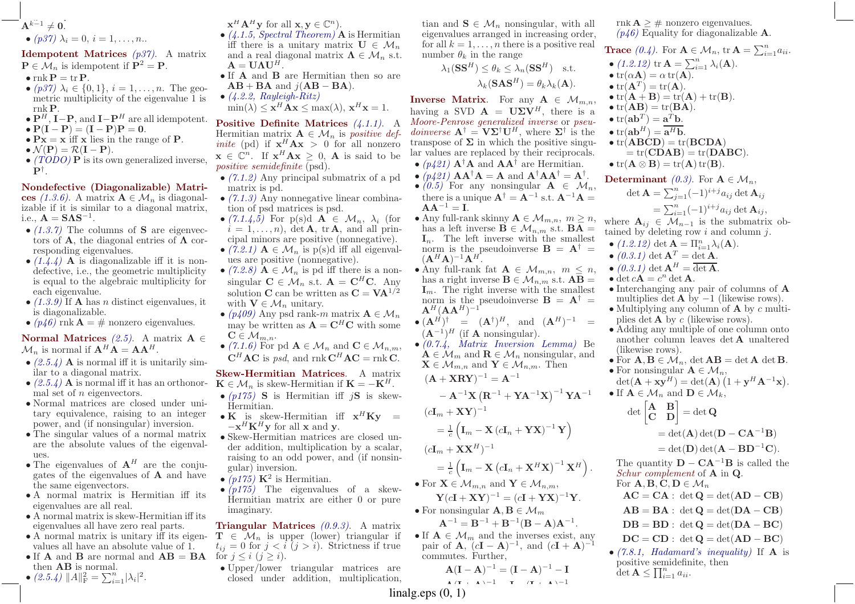$$
\mathbf{A}^{k-1} \neq \mathbf{0}.\newline \bullet (p37) \lambda_i = 0, i = 1, \dots, n.
$$

**Idempotent Matrices**  $(p<sub>3</sub><sup>3</sup>)$ . A matrix  $P \in \mathcal{M}_n$  is idempotent if  $P^2 = P$ .

- $\text{rnk} \mathbf{P} = \text{tr} \mathbf{P}.$
- $(p37)$   $\lambda_i \in \{0,1\}$ ,  $i = 1, \ldots, n$ . The geo-<br>motric multiplicity of the eigenvalue 1 is metric multiplicity of the eigenvalue <sup>1</sup> isrnkP.
- $P^H$ , I–P, and I– $P^H$  are all idempotent.
- $P(I P) = (I P)P = 0.$
- $P_X = x$  iff x lies in the range of P.
- $\mathcal{N}(\mathbf{P}) = \mathcal{R}(\mathbf{I} \mathbf{P}).$ <br>•  $(TODQ)$  **P** is its op
- $\bullet$  (TODO) **P** is its own generalized inverse,  $\mathbf{P}^\dagger$  .

Nondefective (Diagonalizable) Matrices (1.3.6). A matrix  $\mathbf{A} \in \mathcal{M}_n$  is diagonal-<br>izable if it is similar to a diagonal matrix izable if it is similar to <sup>a</sup> diagonal matrix, i.e.,  $\mathbf{A} = \mathbf{S} \mathbf{\Lambda} \mathbf{S}^{-1}$ .

- $\bullet$  (1.3.7) The columns of **S** are eigenvectors of **A**, the diagonal entries of  $\Lambda$  cor-<br>responding eigenvalues responding eigenvalues.
- $(1.4.4)$  **A** is diagonalizable iff it is non-<br>defective i.e. the geometric multiplicity defective, i.e., the geometric multiplicity is equa<sup>l</sup> to the algebraic multiplicity foreach eigenvalue.
- $(1.3.9)$  If **A** has *n* distinct eigenvalues, it is diagonalizable is diagonalizable.

•  $(p46)$  rnk **A** = # nonzero eigenvalues.

Normal Matrices  $(2.5)$ . A matrix A ∈  $\mathcal{M}_n$  is normal if  $\mathbf{A}^H \mathbf{A} = \mathbf{A} \mathbf{A}^H$ .

- $(2.5.4)$  **A** is normal iff it is unitarily sim-<br>ilar to a diagonal matrix ilar to <sup>a</sup> diagonal matrix.
- $(2.5.4)$  **A** is normal iff it has an orthonor-<br>mal set of *n* eigenvectors mal set of  $n$  eigenvectors.
- Normal matrices are closed under unitary equivalence, raising to an integerpower, and (if nonsingular) inversion.
- The singular values of <sup>a</sup> normal matrix are the absolute values of the eigenvalues.
- The eigenvalues of  $A<sup>H</sup>$  are the conjugates of the eigenvalues of  $\bf{A}$  and have<br>the same eigenvectors the same eigenvectors.
- <sup>A</sup> normal matrix is Hermitian iff its eigenvalues are all real.
- <sup>A</sup> normal matrix is skew-Hermitian iff its eigenvalues all have zero real parts.
- <sup>A</sup> normal matrix is unitary iff its eigenvalues all have an absolute value of 1.
- If **A** and **B** are normal and  $AB = BA$  for  $j \leq i$   $(j \geq i)$ . then  $AB$
- then **AB** is normal.<br>
  $(2.5.4)$   $||A||_F^2 = \sum_{i=1}^n |\lambda_i|^2$ .

 $\mathbf{x}^H \mathbf{A}^H \mathbf{y}$  for all  $\mathbf{x}, \mathbf{y} \in \mathbb{C}^n$ .

- $(4.1.5, Spectral Theorem)$  **A** is Hermitian<br>if there is a unitary matrix  $\mathbf{H} \in \mathcal{M}$ iff there is a unitary matrix  $\mathbf{U} \in \mathcal{M}_n$ <br>and a real diagonal matrix  $\mathbf{\Lambda} \in \mathcal{M}$  st and a real diagonal matrix  $\mathbf{\Lambda} \in \mathcal{M}_n$  s.t.<br> $\mathbf{\Lambda} = \mathbf{I} \mathbf{I} \mathbf{\Lambda} \mathbf{I}^H$  $\mathbf{A} = \mathbf{U} \mathbf{\Lambda} \mathbf{U}^H.$ <br>If  $\mathbf{\Lambda}$  and  $\mathbf{B}$ .
- If **A** and **B** are Hermitian then so are<br> $\mathbf{A}\mathbf{B} + \mathbf{B}\mathbf{A}$  and  $i(\mathbf{A}\mathbf{B} \mathbf{B}\mathbf{A})$  $AB + BA$  and  $j(AB - BA)$ .<br>(1,9,9 Rayleigh-Ritz)
- $\bullet$  (4.2.2, Rayleigh-Ritz)
- $\min(\lambda) \leq \mathbf{x}^H \mathbf{A} \mathbf{x} \leq \max(\lambda), \mathbf{x}^H \mathbf{x} = 1.$

Positive Definite Matrices (4.1.1). A Hermitian matrix  $\mathbf{A} \in \mathcal{M}_n$  is positive def-<br>inite (pd) if  $\mathbf{x}^H \mathbf{\Delta} \mathbf{x} > 0$  for all popzero *inite* (pd) if  $\mathbf{x}^H \mathbf{A} \mathbf{x} > 0$  for all nonzero  $\mathbf{x} \in \mathbb{C}^n$ . If  $\mathbf{x}^H \mathbf{A} \mathbf{x} \geq 0$ , **A** is said to be noting semidefinite (rsd) positive semidefinite (psd).

- (7.1.2) Any principal submatrix of <sup>a</sup> pdmatrix is pd.
- (7.1.3) Any nonnegative linear combination of psd matrices is psd.
- $(7.1.4, 5)$  For p(s)d  $\mathbf{A} \in \mathcal{M}_n$ ,  $\lambda_i$  (for  $i = 1, \ldots, n$ , det **A**, tr **A**, and all prin-cipal minors are positive (nonnegative).
- $(7.2.1)$   $A \in M_n$  is p(s)d iff all eigenval-<br>ues are positive (popperative) ues are positive (nonnegative).
- (7.2.8)  $\mathbf{A} \in \mathcal{M}_n$  is pd iff there is a non-<br>circular  $\mathbf{C} \subset \mathcal{M}$  at  $\mathbf{A} = \mathbf{C}^H \mathbf{C}$ . singular  $\mathbf{C} \in \mathcal{M}_n$  s.t.  $\mathbf{A} = \mathbf{C}^H \mathbf{C}$ . Any solution **C** can be written as  $C = VA^{1/2}$ with  $\mathbf{V} \in \mathcal{M}_n$  unitary.<br>(*n*/09) Apy psd rank-*r*
- (p409) Any psd rank-m matrix  $\mathbf{A} \in \mathcal{M}_n$ <br>may be written as  $\mathbf{A} = \mathbf{C}^H \mathbf{C}$  with any may be written as  $\mathbf{A} = \mathbf{C}^H \mathbf{C}$  with some  $\mathbf{C} \in M$  $C \in \mathcal{M}_{m,n}$ .<br>(7.1.6) For
- $(7.1.6)$  For pd  $\mathbf{A} \in \mathcal{M}_n$  and  $\mathbf{C} \in \mathcal{M}_{n,m}$ ,<br>C<sup>H</sup> AC is not and ml C<sup>H</sup> AC ml C  $\mathbf{C}^H \mathbf{A} \mathbf{C}$  is psd, and rnk  $\mathbf{C}^H \mathbf{A} \mathbf{C} = \text{rnk } \mathbf{C}$ .

## Skew-Hermitian Matrices. A matrix  $\mathbf{K} \in \mathcal{M}_n$  is skew-Hermitian if  $\mathbf{K} = -\mathbf{K}^H$ .<br>  $\bullet$  (n175)  $\mathbf{S}$  is Hermitian iff is is skew

- $\bullet$  (p175) S is Hermitian iff jS is skew-Hermitian.
- K is skew-Hermitian iff  $\mathbf{x}^H \mathbf{K} \mathbf{y} = -\mathbf{x}^H \mathbf{K}^H \mathbf{y}$  for all x and y  $-\mathbf{x}^H \mathbf{K}^H \mathbf{y}$  for all **x** and **y**.
- Skew-Hermitian matrices are closed under addition, multiplication by <sup>a</sup> scalar, raising to an odd power, and (if nonsingular) inversion.
- $(p175)$   $\mathbf{K}^2$  is Hermitian.
- $\bullet$  (p175). The eigenvalues of a skew-Hermitian matrix are either <sup>0</sup> or pureimaginary.

Triangular Matrices (0.9.3). A matrix  $\mathbf{T} \in \mathcal{M}_n$  is upper (lower) triangular if  $t_{ij} = 0$  for  $i \leq i$  ( $i > j$ ) Strictness if true  $t_{ij} = 0$  for  $j < i$   $(j > i)$ . Strictness if true

• Upper/lower triangular matrices are closed under addition, multiplication, raising to an integer power, and (if nontian and  $\mathbf{S} \in \mathcal{M}_n$  nonsingular, with all<br>oironyplues arranged in increasing order eigenvalues arranged in increasing order, for all  $k = 1, \ldots, n$  there is a positive real number  $\theta_k$  in the range

$$
\lambda_1(\mathbf{SS}^H) \le \theta_k \le \lambda_n(\mathbf{SS}^H) \quad \text{s.t.}
$$

$$
\lambda_k(\mathbf{S}\mathbf{AS}^H) = \theta_k \lambda_k(\mathbf{A}).
$$

**Inverse Matrix.** For any  $A \in \mathcal{M}_{m,n}$ ,<br>hereing a SVD  $A = \textbf{HNN}^H$  there is a having a SVD  $\mathbf{A} = \mathbf{U} \Sigma \mathbf{V}^H$ , there is a *Moore Penrose concretized inverse* or negative Moore-Penrose generalized inverse or pseudoinverse  $\mathbf{A}^{\dagger} = \mathbf{V} \mathbf{\Sigma}^{\dagger} \mathbf{U}^{H}$ , where  $\mathbf{\Sigma}^{\dagger}$  is the transpose of  $\Sigma$  in which the positive singular values are replaced by their reciprocals lar values are replaced by their reciprocals.

- $(p421)$   $\mathbf{A}^{\dagger}\mathbf{A}$  and  $\mathbf{A}\mathbf{A}^{\dagger}$  are Hermitian.
- $(p421)$   $AA^{\dagger}A = A$  and  $A^{\dagger}AA^{\dagger} = A^{\dagger}$ .<br>•  $(0.5)$  For any nonsingular  $A \in M$
- $\bullet$  (0.5) For any nonsingular  $\mathbf{A} \in \mathcal{M}_n$ ,<br>there is a unique  $\mathbf{A}^\dagger = \mathbf{A}^{-1}$  at  $\mathbf{A}^{-1} \mathbf{A}$ . there is a unique  $\mathbf{A}^{\dagger} = \mathbf{A}^{-1} \text{ s.t. } \mathbf{A}^{-1} \mathbf{A} =$  $AA^{-1} = I.$
- Any full-rank skinny  $\mathbf{A} \in \mathcal{M}_{m,n}$ ,  $m \geq n$ ,<br>has a left inverse  $\mathbf{B} \in \mathcal{M}$ , st,  $\mathbf{B}\mathbf{A}$ has a left inverse  $\mathbf{B} \in \mathcal{M}_{n,m}$  s.t.  $\mathbf{BA} = \mathbf{I}$ <br>
The left inverse with the smallest  $\mathbf{I}_n$ . The left inverse with the smallest norm is the pseudoinverse  $\mathbf{B} = \mathbf{A}^{\dagger}$  $(\mathbf{A}^{H}\mathbf{A})^{-1}\mathbf{A}^{H}.$
- Any full-rank fat  $\mathbf{A} \in \mathcal{M}_{m,n}$ ,  $m \leq n$ ,<br>has a right inverse  $\mathbf{B} \in \mathcal{M}$  s t  $\mathbf{A} \mathbf{B}$  has a right inverse  $\mathbf{B} \in \mathcal{M}_{n,m}$  s.t.  $\mathbf{AB} = \mathbf{I}$ <br>
The right inverse with the smallest  $\mathbf{I}_m$ . The right inverse with the smallest norm is the pseudoinverse  $\mathbf{B} = \mathbf{A}^{\dagger}$  $\mathbf{A}^{H}(\mathbf{A}\mathbf{A}^{H})^{-1}$
- $\bullet$   $(\mathbf{A}^H)^{\dagger}$  =  $(\mathbf{A}^{\dagger})^H$ , and  $(\mathbf{A}^H)^{-1}$  =  $(\mathbf{A}^{-1})^H$  (if **A** nonsingular).<br>(0.7.1 Matrix Inversion)
- (0.7.4, Matrix Inversion Lemma) Be  $\mathbf{A} \in \mathcal{M}_m$  and  $\mathbf{R} \in \mathcal{M}_n$  nonsingular, and  $\mathbf{X} \in \mathcal{M}_{m,n}$  and  $\mathbf{Y} \in \mathcal{M}_{n,m}$ . Then

$$
\mathbf{A} \in \mathcal{M}_{m,n} \text{ and } \mathbf{I} \in \mathcal{M}_{n,m}. \text{ Then}
$$
\n
$$
(\mathbf{A} + \mathbf{X}\mathbf{R}\mathbf{Y})^{-1} = \mathbf{A}^{-1}
$$
\n
$$
-\mathbf{A}^{-1}\mathbf{X}(\mathbf{R}^{-1} + \mathbf{Y}\mathbf{A}^{-1}\mathbf{X})^{-1}\mathbf{Y}\mathbf{A}^{-1}
$$
\n
$$
(c\mathbf{I}_m + \mathbf{X}\mathbf{Y})^{-1}
$$
\n
$$
= \frac{1}{c} \left( \mathbf{I}_m - \mathbf{X} (c\mathbf{I}_n + \mathbf{Y}\mathbf{X})^{-1}\mathbf{Y} \right)
$$
\n
$$
(c\mathbf{I}_m + \mathbf{X}\mathbf{X}^H)^{-1}
$$

$$
= \frac{1}{c} \left( \mathbf{I}_m - \mathbf{X} \left( c \mathbf{I}_n + \mathbf{X}^H \mathbf{X} \right)^{-1} \mathbf{X}^H \right).
$$
  
For  $\mathbf{X} \in M$  and  $\mathbf{Y} \in M$ 

• For  $\mathbf{X} \in \mathcal{M}_{m,n}$  and  $\mathbf{Y} \in \mathcal{M}_{n,m}$ ,  $\mathbf{Y}(c\mathbf{I} + \mathbf{X}\mathbf{Y})^{-1} = (c\mathbf{I} + \mathbf{Y}\mathbf{X})^{-1}\mathbf{Y}.$ 

• For nonsingular  $\mathbf{A}, \mathbf{B} \in \mathcal{M}_m$ 

$$
A^{-1} = B^{-1} + B^{-1}(B - A)A^{-1}.
$$

• If  $\mathbf{A} \in \mathcal{M}_m$  and the inverses exist, any pair of  $\mathbf{A}$  (cI =  $\mathbf{A}$ )<sup>-1</sup> and (cI +  $\mathbf{A}$ )<sup>-1</sup> commutes. Further, pair of  $\mathbf{A}, \; (\mathbf{c}\mathbf{I} - \mathbf{A})^{-1}$ , and  $(\mathbf{c}\mathbf{I} + \mathbf{A})^{-1}$ 

$$
A(I - A)^{-1} = (I - A)^{-1} - I
$$

 $\text{rank } \mathbf{A} \geq \text{\# nonzero eigenvalues}.$  $(p46)$  Equality for diagonalizable **A**.

**Trace**  $(0.4)$ . For  $\mathbf{A} \in \mathcal{M}_n$ ,  $\operatorname{tr} \mathbf{A} = \sum_{i=1}^n a_{ii}$ .  $\bullet$  (1.2.12) tr  $\mathbf{A} = \sum_{i=1}^{n} \lambda_i(\mathbf{A}).$ •  $tr(\alpha \mathbf{A}) = \alpha tr(\mathbf{A}).$ •  $tr(A^T) = tr(A)$ . •  $tr(\mathbf{A} + \mathbf{B}) = tr(\mathbf{A}) + tr(\mathbf{B}).$ •  $tr(AB) = tr(BA)$ . •  $tr(ab^T) = a^Tb$ . •  $tr(ab^H) = a^Hb$ . •  $tr(ABCD) = tr(BCDA)$  $=\text{tr}(\mathbf{CDAB}) = \text{tr}(\mathbf{DABC}).$ •  $tr(\mathbf{A} \otimes \mathbf{B}) = tr(\mathbf{A}) tr(\mathbf{B}).$ **Determinant** (0.3). For  $A \in \mathcal{M}_n$ ,  $\mathbf d$ 

et 
$$
\mathbf{A} = \sum_{j=1}^{n} (-1)^{i+j} a_{ij} \det \mathbf{A}_{ij}
$$
  
=  $\sum_{i=1}^{n} (-1)^{i+j} a_{ij} \det \mathbf{A}_{ij}$ ,

 $= \sum_{i=1}^{n} (-1)^{i+j} a_{ij} \det \mathbf{A}_{ij},$ <br>where  $\mathbf{A}_{ij} \in \mathcal{M}_{n-1}$  is the submatrix obtained by deleting row i and column j.

- $\bullet$  (1.2.12) det  $\mathbf{A} = \prod_{i=1}^{n} \lambda_i(\mathbf{A}).$ <br>  $\bullet$  (0.2.1) det  $\mathbf{A}^T = \det \mathbf{A}$
- $(0.3.1)$  det  $\mathbf{A}^T = \underline{\det \mathbf{A}}$ .

• 
$$
(0.3.1)
$$
 det  $\mathbf{A}^H = \overline{\det \mathbf{A}}$ .  
• det  $c\mathbf{A} = c^n \det \mathbf{A}$ .

- 
- Interchanging any pair of columns of Amultiplies det **A** by  $-1$  (likewise rows).<br>Multiplying any column of **A** by c mult
- Multiplying any column of **A** by c multi-<br>plies det **A** by c (likewise rows) plies det  $\bf{A}$  by c (likewise rows).<br>Adding any multiple of one colu
- Adding any multiple of one column onto another column leaves det **A** unaltered<br>(likewise rows) (likewise rows).
- For  $\mathbf{A}, \mathbf{B} \in \mathcal{M}_n$ , det  $\mathbf{A}\mathbf{B} = \det \mathbf{A} \det \mathbf{B}$ .

\n- For nonsingular 
$$
\mathbf{A} \in \mathcal{M}_n
$$
,  $\det(\mathbf{A} + \mathbf{x}\mathbf{y}^H) = \det(\mathbf{A}) \left(1 + \mathbf{y}^H \mathbf{A}^{-1} \mathbf{x}\right)$ .
\n- If  $\mathbf{A} \in \mathcal{M}_n$  and  $\mathbf{D} \in \mathcal{M}_k$ ,  $\mathbf{A} \in \mathcal{M}_n$  and  $\mathbf{D} \in \mathcal{M}_k$ .
\n

$$
\det \begin{bmatrix} A & B \\ C & D \end{bmatrix} = \det Q
$$
  
= 
$$
\det(A) \det(D - CA^{-1}B)
$$
  
= 
$$
\det(D) \det(A - BD^{-1}C).
$$

- The quantity  $\mathbf{D} \mathbf{C} \mathbf{A}^{-1} \mathbf{B}$  is called the<br>Sehar complement of  $\Lambda$  in  $\Omega$ Schur complement of **A** in **Q**.<br>For **A B C D**  $\in$  *M*
- For  $\mathbf{A}, \mathbf{B}, \mathbf{C}, \mathbf{D} \in \mathcal{M}_n$ <br> $\mathbf{A}\mathbf{C} = \mathbf{C}\mathbf{A} + \det \mathbf{O}_n$  $AC = CA : det Q = det(AD - CB)$
- $AB = BA$ : det  $Q = det(DA CB)$
- $DB = BD : det Q = det(DA BC)$
- $\mathbf{DC} = \mathbf{CD} : \ \det \mathbf{Q} = \det(\mathbf{AD} \mathbf{BC})$
- $(7.8.1, Hadamard's inequality)$  If **A** is<br>positive semidefinite then positive semidefinite, then $\det \mathbf{A} \leq \prod_{i=1}^n a_{ii}.$

linalg.eps (0, 1)  $A(T + A) = 1$  T  $(T + A) = 1$ <br>  $(1)$ 

 Y $\left.\rule{-2pt}{10pt}\right)$